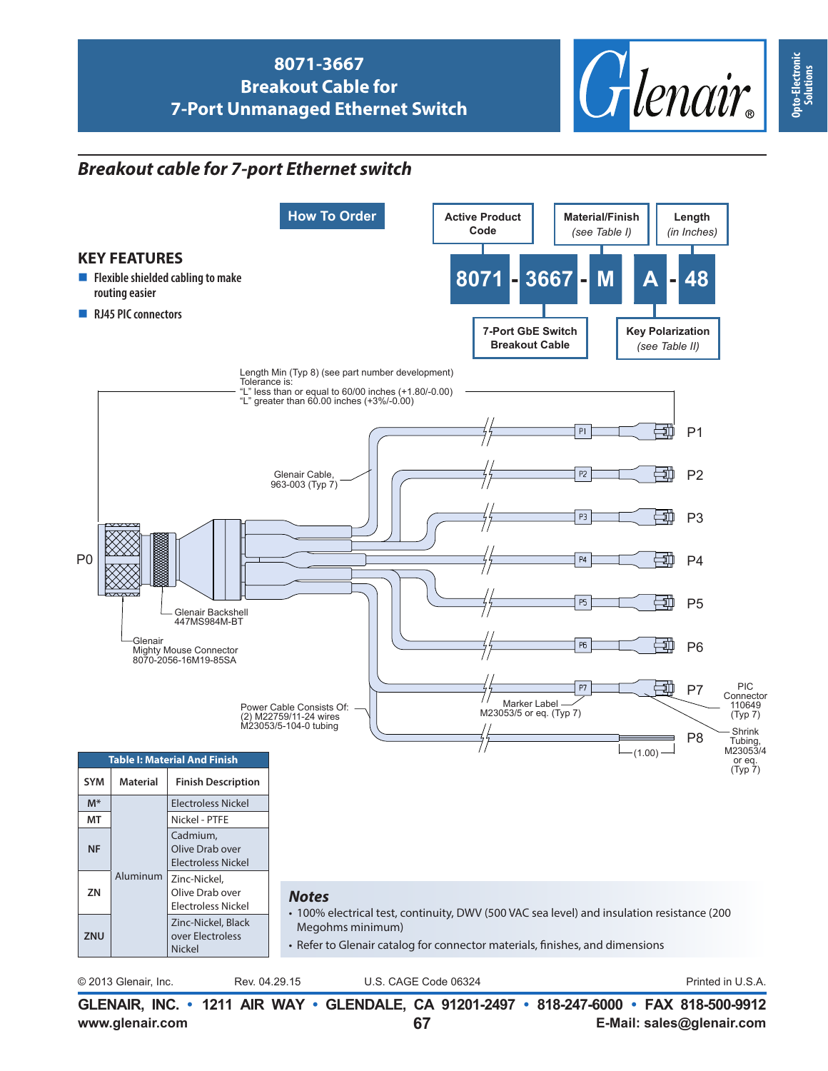

## *Breakout cable for 7-port Ethernet switch*



**Opto-Electronic Opto-Electronic**<br>Solutions